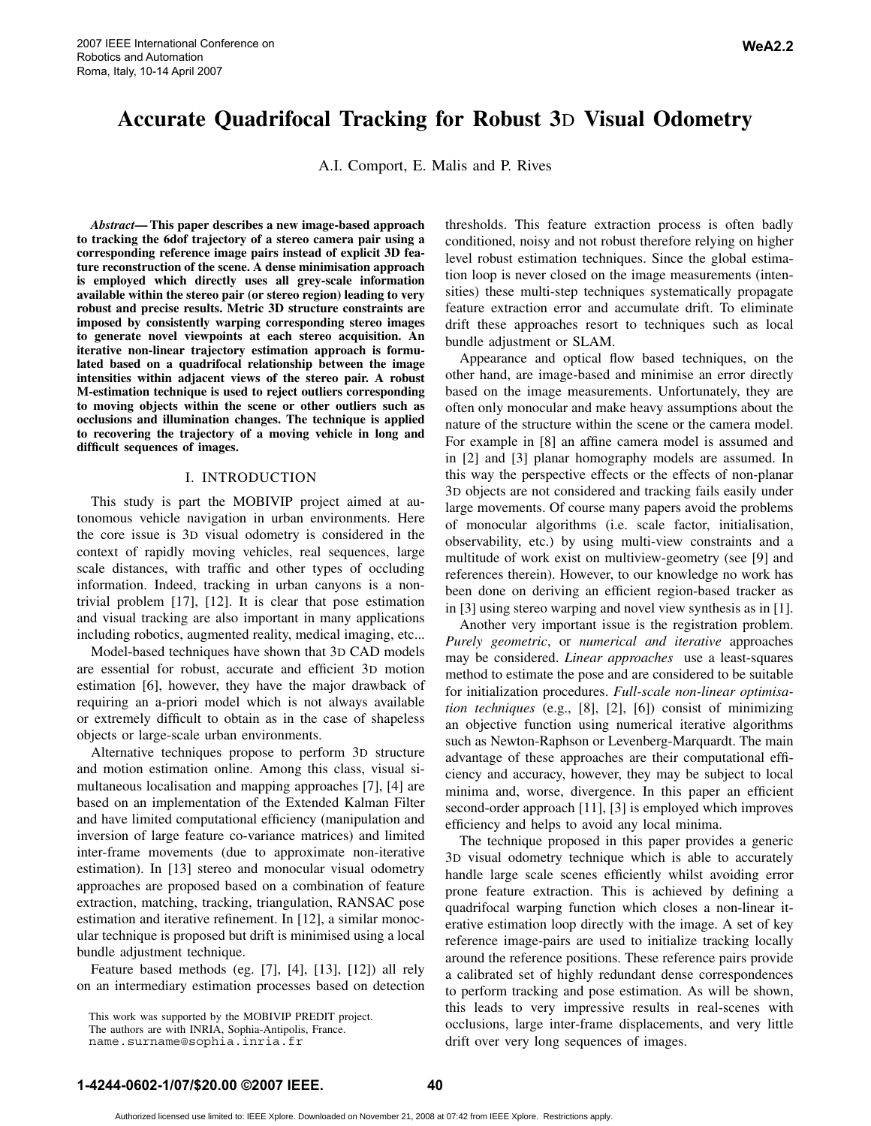A.I. Comport, E. Malis and P. Rives

*Abstract***— This paper describes a new image-based approach to tracking the 6dof trajectory of a stereo camera pair using a corresponding reference image pairs instead of explicit 3D feature reconstruction of the scene. A dense minimisation approach is employed which directly uses all grey-scale information available within the stereo pair (or stereo region) leading to very robust and precise results. Metric 3D structure constraints are imposed by consistently warping corresponding stereo images to generate novel viewpoints at each stereo acquisition. An iterative non-linear trajectory estimation approach is formulated based on a quadrifocal relationship between the image intensities within adjacent views of the stereo pair. A robust M-estimation technique is used to reject outliers corresponding to moving objects within the scene or other outliers such as occlusions and illumination changes. The technique is applied to recovering the trajectory of a moving vehicle in long and difficult sequences of images.**

# I. INTRODUCTION

This study is part the MOBIVIP project aimed at autonomous vehicle navigation in urban environments. Here the core issue is 3D visual odometry is considered in the context of rapidly moving vehicles, real sequences, large scale distances, with traffic and other types of occluding information. Indeed, tracking in urban canyons is a nontrivial problem [17], [12]. It is clear that pose estimation and visual tracking are also important in many applications including robotics, augmented reality, medical imaging, etc...

Model-based techniques have shown that 3D CAD models are essential for robust, accurate and efficient 3D motion estimation [6], however, they have the major drawback of requiring an a-priori model which is not always available or extremely difficult to obtain as in the case of shapeless objects or large-scale urban environments.

Alternative techniques propose to perform 3D structure and motion estimation online. Among this class, visual simultaneous localisation and mapping approaches [7], [4] are based on an implementation of the Extended Kalman Filter and have limited computational efficiency (manipulation and inversion of large feature co-variance matrices) and limited inter-frame movements (due to approximate non-iterative estimation). In [13] stereo and monocular visual odometry approaches are proposed based on a combination of feature extraction, matching, tracking, triangulation, RANSAC pose estimation and iterative refinement. In [12], a similar monocular technique is proposed but drift is minimised using a local bundle adjustment technique.

Feature based methods (eg. [7], [4], [13], [12]) all rely on an intermediary estimation processes based on detection

This work was supported by the MOBIVIP PREDIT project. The authors are with INRIA, Sophia-Antipolis, France.

name.surname@sophia.inria.fr

thresholds. This feature extraction process is often badly conditioned, noisy and not robust therefore relying on higher level robust estimation techniques. Since the global estimation loop is never closed on the image measurements (intensities) these multi-step techniques systematically propagate feature extraction error and accumulate drift. To eliminate drift these approaches resort to techniques such as local bundle adjustment or SLAM.

Appearance and optical flow based techniques, on the other hand, are image-based and minimise an error directly based on the image measurements. Unfortunately, they are often only monocular and make heavy assumptions about the nature of the structure within the scene or the camera model. For example in [8] an affine camera model is assumed and in [2] and [3] planar homography models are assumed. In this way the perspective effects or the effects of non-planar 3D objects are not considered and tracking fails easily under large movements. Of course many papers avoid the problems of monocular algorithms (i.e. scale factor, initialisation, observability, etc.) by using multi-view constraints and a multitude of work exist on multiview-geometry (see [9] and references therein). However, to our knowledge no work has been done on deriving an efficient region-based tracker as in [3] using stereo warping and novel view synthesis as in [1].

Another very important issue is the registration problem. *Purely geometric*, or *numerical and iterative* approaches may be considered. *Linear approaches* use a least-squares method to estimate the pose and are considered to be suitable for initialization procedures. *Full-scale non-linear optimisation techniques* (e.g., [8], [2], [6]) consist of minimizing an objective function using numerical iterative algorithms such as Newton-Raphson or Levenberg-Marquardt. The main advantage of these approaches are their computational efficiency and accuracy, however, they may be subject to local minima and, worse, divergence. In this paper an efficient second-order approach [11], [3] is employed which improves efficiency and helps to avoid any local minima.

The technique proposed in this paper provides a generic 3D visual odometry technique which is able to accurately handle large scale scenes efficiently whilst avoiding error prone feature extraction. This is achieved by defining a quadrifocal warping function which closes a non-linear iterative estimation loop directly with the image. A set of key reference image-pairs are used to initialize tracking locally around the reference positions. These reference pairs provide a calibrated set of highly redundant dense correspondences to perform tracking and pose estimation. As will be shown, this leads to very impressive results in real-scenes with occlusions, large inter-frame displacements, and very little drift over very long sequences of images.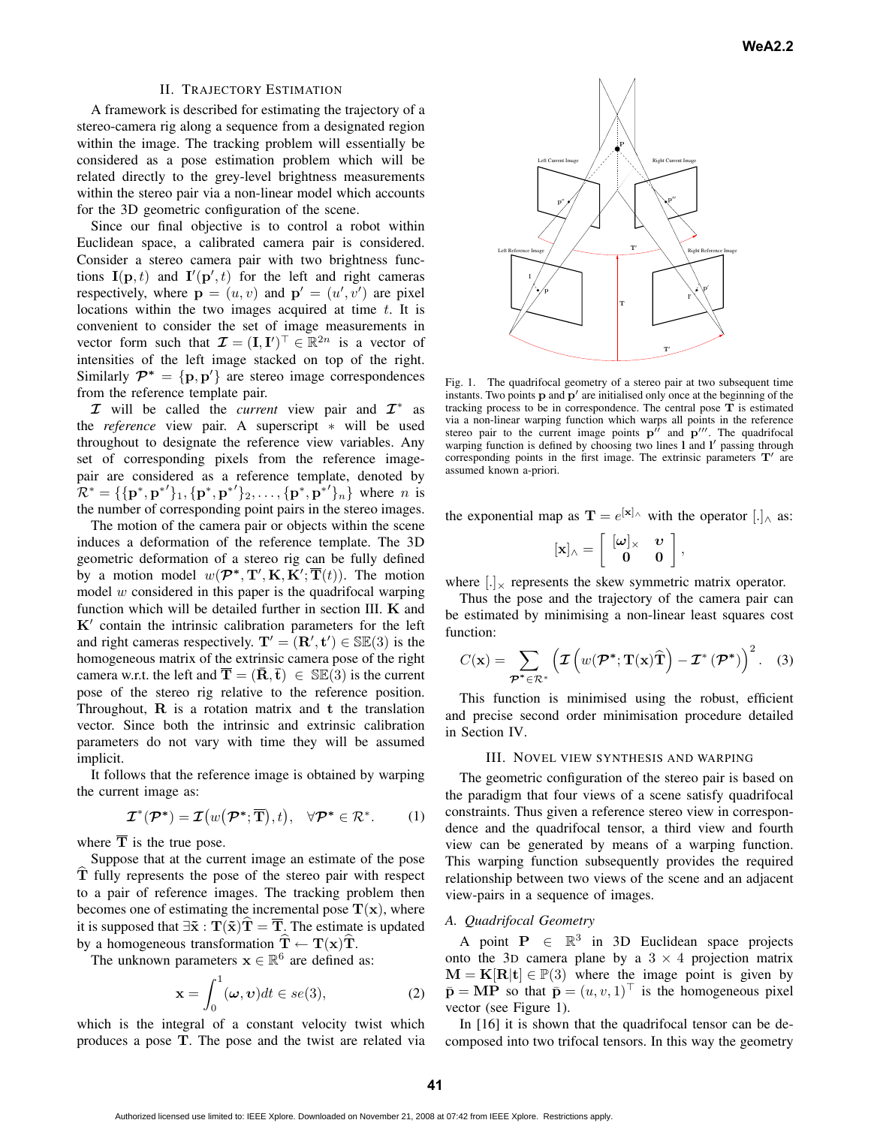## II. TRAJECTORY ESTIMATION

A framework is described for estimating the trajectory of a stereo-camera rig along a sequence from a designated region within the image. The tracking problem will essentially be considered as a pose estimation problem which will be related directly to the grey-level brightness measurements within the stereo pair via a non-linear model which accounts for the 3D geometric configuration of the scene.

Since our final objective is to control a robot within Euclidean space, a calibrated camera pair is considered. Consider a stereo camera pair with two brightness functions  $I(\mathbf{p}, t)$  and  $I'(\mathbf{p}', t)$  for the left and right cameras respectively, where  $\mathbf{p} = (u, v)$  and  $\mathbf{p}' = (u', v')$  are pixel locations within the two images acquired at time  $t$ . It is convenient to consider the set of image measurements in vector form such that  $\mathcal{I} = (\mathbf{I}, \mathbf{I}')^\top \in \mathbb{R}^{2n}$  is a vector of intensities of the left image stacked on top of the right. Similarly  $\mathcal{P}^* = \{p, p'\}\$ are stereo image correspondences from the reference template pair.

*I* will be called the *current* view pair and *I*<sup>∗</sup> as the *reference* view pair. A superscript ∗ will be used throughout to designate the reference view variables. Any set of corresponding pixels from the reference imagepair are considered as a reference template, denoted by  $\mathcal{R}^* = \{ \{ \mathbf{p}^*, \mathbf{p}^* \}'_1, \{ \mathbf{p}^*, \mathbf{p}^* \}'_2, \dots, \{ \mathbf{p}^*, \mathbf{p}^* \}'_n \}$  where *n* is the number of corresponding point pairs in the stereo images.

The motion of the camera pair or objects within the scene induces a deformation of the reference template. The 3D geometric deformation of a stereo rig can be fully defined by a motion model  $w(P^*, T', K, K'; T(t))$ . The motion model  $w$  considered in this paper is the quadrifocal warping function which will be detailed further in section III. **K** and  $K'$  contain the intrinsic calibration parameters for the left and right cameras respectively.  $T' = (R', t') \in \mathbb{SE}(3)$  is the homogeneous matrix of the extrinsic camera pose of the right camera w.r.t. the left and  $\overline{\mathbf{T}} = (\overline{\mathbf{R}}, \overline{\mathbf{t}}) \in \mathbb{S}\mathbb{E}(3)$  is the current pose of the stereo rig relative to the reference position. Throughout, **R** is a rotation matrix and **t** the translation vector. Since both the intrinsic and extrinsic calibration parameters do not vary with time they will be assumed implicit.

It follows that the reference image is obtained by warping the current image as:

$$
\mathcal{I}^*(\mathcal{P}^*) = \mathcal{I}\big(w\big(\mathcal{P}^*;\overline{\mathbf{T}}\big),t\big), \quad \forall \mathcal{P}^* \in \mathcal{R}^*.
$$
 (1)

where  $\overline{T}$  is the true pose.

Suppose that at the current image an estimate of the pose **T** fully represents the pose of the stereo pair with respect to a pair of reference images. The tracking problem then becomes one of estimating the incremental pose  $T(x)$ , where it is supposed that  $\exists \tilde{x} : T(\tilde{x})T = \overline{T}$ . The estimate is updated by a homogeneous transformation  $\mathbf{T} \leftarrow \mathbf{T}(\mathbf{x})\mathbf{T}$ .

The unknown parameters  $x \in \mathbb{R}^6$  are defined as:

$$
\mathbf{x} = \int_0^1 (\boldsymbol{\omega}, \boldsymbol{v}) dt \in se(3), \tag{2}
$$

which is the integral of a constant velocity twist which produces a pose **T**. The pose and the twist are related via



Fig. 1. The quadrifocal geometry of a stereo pair at two subsequent time instants. Two points  $\bf{p}$  and  $\bf{p}'$  are initialised only once at the beginning of the tracking process to be in correspondence. The central pose **T** is estimated via a non-linear warping function which warps all points in the reference stereo pair to the current image points  $p^{\prime\prime}$  and  $p^{\prime\prime\prime}$ . The quadrifocal warping function is defined by choosing two lines **l** and **l** passing through corresponding points in the first image. The extrinsic parameters  $T'$  are assumed known a-priori.

the exponential map as  $\mathbf{T} = e^{[\mathbf{x}]_\wedge}$  with the operator  $[.]_\wedge$  as:

$$
[\mathbf{x}]_\wedge = \left[ \begin{array}{cc} [\omega]_\times & \upsilon \\ 0 & 0 \end{array} \right],
$$

where  $[.]$ <sub>x</sub> represents the skew symmetric matrix operator.

Thus the pose and the trajectory of the camera pair can be estimated by minimising a non-linear least squares cost function:

$$
C(\mathbf{x}) = \sum_{\mathcal{P}^* \in \mathcal{R}^*} \left( \mathcal{I}\left(w(\mathcal{P}^*; \mathbf{T}(\mathbf{x})\widehat{\mathbf{T}}\right) - \mathcal{I}^*(\mathcal{P}^*)\right)^2.
$$
 (3)

This function is minimised using the robust, efficient and precise second order minimisation procedure detailed in Section IV.

#### III. NOVEL VIEW SYNTHESIS AND WARPING

The geometric configuration of the stereo pair is based on the paradigm that four views of a scene satisfy quadrifocal constraints. Thus given a reference stereo view in correspondence and the quadrifocal tensor, a third view and fourth view can be generated by means of a warping function. This warping function subsequently provides the required relationship between two views of the scene and an adjacent view-pairs in a sequence of images.

# *A. Quadrifocal Geometry*

A point  $P \in \mathbb{R}^3$  in 3D Euclidean space projects onto the 3D camera plane by a  $3 \times 4$  projection matrix  $M = K[R|t] \in \mathbb{P}(3)$  where the image point is given by  $\bar{\mathbf{p}} = \mathbf{MP}$  so that  $\bar{\mathbf{p}} = (u, v, 1)$ <sup> $\perp$ </sup> is the homogeneous pixel vector (see Figure 1).

In [16] it is shown that the quadrifocal tensor can be decomposed into two trifocal tensors. In this way the geometry

Authorized licensed use limited to: IEEE Xplore. Downloaded on November 21, 2008 at 07:42 from IEEE Xplore. Restrictions apply.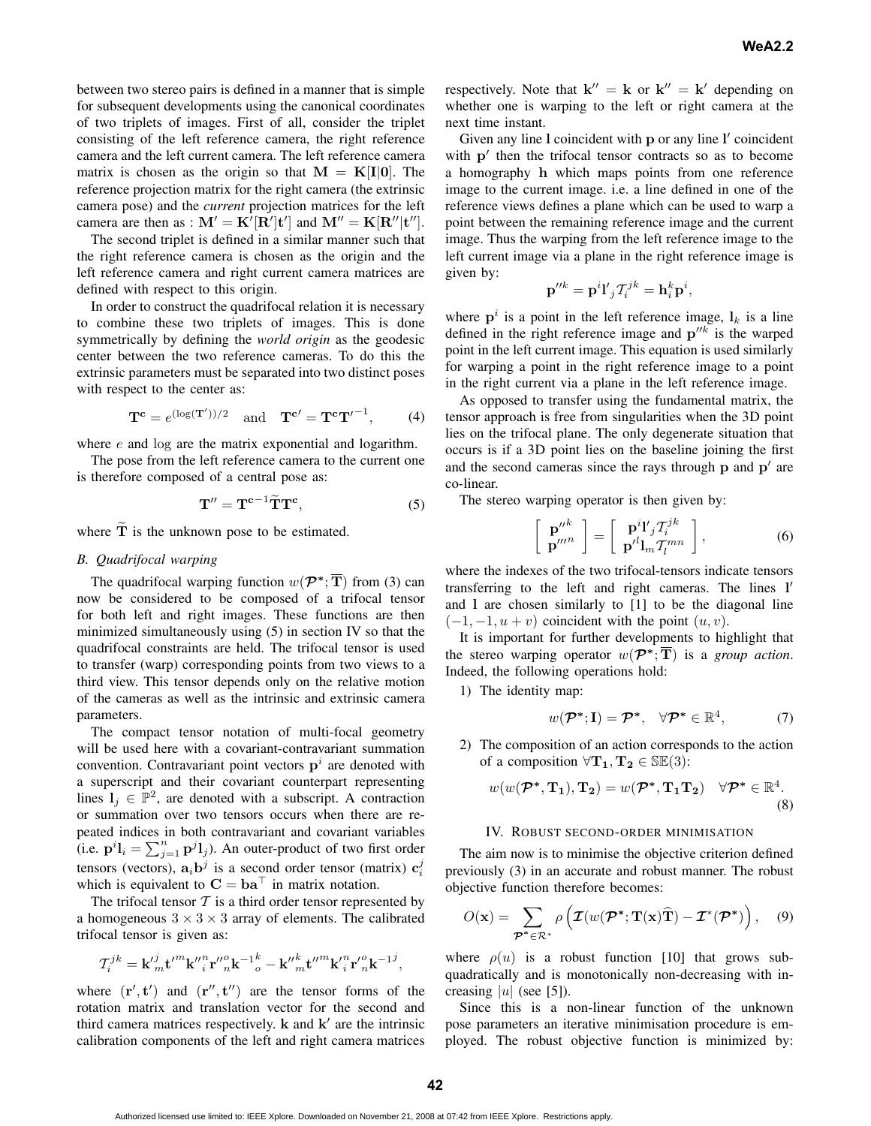between two stereo pairs is defined in a manner that is simple for subsequent developments using the canonical coordinates of two triplets of images. First of all, consider the triplet consisting of the left reference camera, the right reference camera and the left current camera. The left reference camera matrix is chosen as the origin so that  $M = K[I[0]]$ . The reference projection matrix for the right camera (the extrinsic camera pose) and the *current* projection matrices for the left camera are then as :  $\mathbf{M}' = \mathbf{K}'[\mathbf{R}']\mathbf{t}'$  and  $\mathbf{M}'' = \mathbf{K}[\mathbf{R}''|\mathbf{t}'']$ .

The second triplet is defined in a similar manner such that the right reference camera is chosen as the origin and the left reference camera and right current camera matrices are defined with respect to this origin.

In order to construct the quadrifocal relation it is necessary to combine these two triplets of images. This is done symmetrically by defining the *world origin* as the geodesic center between the two reference cameras. To do this the extrinsic parameters must be separated into two distinct poses with respect to the center as:

$$
\mathbf{T}^{\mathbf{c}} = e^{(\log(\mathbf{T}'))/2} \quad \text{and} \quad \mathbf{T}^{\mathbf{c}'} = \mathbf{T}^{\mathbf{c}} \mathbf{T}'^{-1}, \tag{4}
$$

where  $e$  and log are the matrix exponential and logarithm.

The pose from the left reference camera to the current one is therefore composed of a central pose as:

$$
\mathbf{T}^{\prime\prime} = \mathbf{T}^{\mathbf{c}-1} \widetilde{\mathbf{T}} \mathbf{T}^{\mathbf{c}},\tag{5}
$$

where **T** is the unknown pose to be estimated.

## *B. Quadrifocal warping*

The quadrifocal warping function  $w(\mathcal{P}^*, \overline{T})$  from (3) can now be considered to be composed of a trifocal tensor for both left and right images. These functions are then minimized simultaneously using (5) in section IV so that the quadrifocal constraints are held. The trifocal tensor is used to transfer (warp) corresponding points from two views to a third view. This tensor depends only on the relative motion of the cameras as well as the intrinsic and extrinsic camera parameters.

The compact tensor notation of multi-focal geometry will be used here with a covariant-contravariant summation convention. Contravariant point vectors  $p<sup>i</sup>$  are denoted with a superscript and their covariant counterpart representing lines  $l_i \in \mathbb{P}^2$ , are denoted with a subscript. A contraction or summation over two tensors occurs when there are repeated indices in both contravariant and covariant variables (i.e.  $\mathbf{p}^i \mathbf{l}_i = \sum_{j=1}^n \mathbf{p}^j \mathbf{l}_j$ ). An outer-product of two first order tensor (westlin)  $\mathbf{p}^j$ tensors (vectors),  $\mathbf{a}_i \mathbf{b}^j$  is a second order tensor (matrix)  $\mathbf{c}_i^j$ which is equivalent to  $C = ba^{\dagger}$  in matrix notation.

The trifocal tensor  $T$  is a third order tensor represented by a homogeneous  $3 \times 3 \times 3$  array of elements. The calibrated trifocal tensor is given as:

$$
\mathcal{T}^{jk}_i={\bf k'}^j_m{\bf t'}^m{\bf k''}^n_i{\bf r''}^o_n{\bf k^{-1}}^k_o-{\bf k''}^k_m{\bf t''}^m{\bf k'}^n_i{\bf r'}^o_n{\bf k^{-1}}^j,
$$

where  $(\mathbf{r}', \mathbf{t}')$  and  $(\mathbf{r}'', \mathbf{t}'')$  are the tensor forms of the rotation matrix and translation vector for the second and third camera matrices respectively.  $\bf{k}$  and  $\bf{k}'$  are the intrinsic calibration components of the left and right camera matrices respectively. Note that  $\mathbf{k}'' = \mathbf{k}$  or  $\mathbf{k}'' = \mathbf{k}'$  depending on whether one is warping to the left or right camera at the next time instant.

Given any line **l** coincident with **p** or any line **l** coincident with  $p'$  then the trifocal tensor contracts so as to become a homography **h** which maps points from one reference image to the current image. i.e. a line defined in one of the reference views defines a plane which can be used to warp a point between the remaining reference image and the current image. Thus the warping from the left reference image to the left current image via a plane in the right reference image is given by:

$$
\mathbf{p}^{\prime\prime k} = \mathbf{p}^i \mathbf{l'}_j \mathcal{T}_i^{jk} = \mathbf{h}_i^k \mathbf{p}^i,
$$

where  $p^i$  is a point in the left reference image,  $l_k$  is a line defined in the right reference image and  $p^{\prime\prime k}$  is the warped point in the left current image. This equation is used similarly for warping a point in the right reference image to a point in the right current via a plane in the left reference image.

As opposed to transfer using the fundamental matrix, the tensor approach is free from singularities when the 3D point lies on the trifocal plane. The only degenerate situation that occurs is if a 3D point lies on the baseline joining the first and the second cameras since the rays through  $p$  and  $p'$  are co-linear.

The stereo warping operator is then given by:

$$
\begin{bmatrix} \mathbf{p}^{\prime\prime k} \\ \mathbf{p}^{\prime\prime\prime n} \end{bmatrix} = \begin{bmatrix} \mathbf{p}^{i} \mathbf{I}^{\prime}{}_{j} \mathcal{T}_{i}^{jk} \\ \mathbf{p}^{\prime l} \mathbf{I}_{m} \mathcal{T}_{l}^{mn} \end{bmatrix},
$$
(6)

where the indexes of the two trifocal-tensors indicate tensors transferring to the left and right cameras. The lines **l** and **l** are chosen similarly to [1] to be the diagonal line  $(-1,-1,u+v)$  coincident with the point  $(u, v)$ .

It is important for further developments to highlight that the stereo warping operator  $w(\mathcal{P}^*, \overline{T})$  is a *group action*. Indeed, the following operations hold:

1) The identity map:

$$
w(\mathcal{P}^*;\mathbf{I})=\mathcal{P}^*,\quad \forall \mathcal{P}^*\in\mathbb{R}^4,\tag{7}
$$

2) The composition of an action corresponds to the action of a composition  $\forall$ **T**<sub>1</sub>, **T**<sub>2</sub>  $\in$  SE(3):

$$
w(w(\mathcal{P}^*, \mathbf{T_1}), \mathbf{T_2}) = w(\mathcal{P}^*, \mathbf{T_1} \mathbf{T_2}) \quad \forall \mathcal{P}^* \in \mathbb{R}^4.
$$
\n(8)

### IV. ROBUST SECOND-ORDER MINIMISATION

The aim now is to minimise the objective criterion defined previously (3) in an accurate and robust manner. The robust objective function therefore becomes:

$$
O(\mathbf{x}) = \sum_{\mathcal{P}^* \in \mathcal{R}^*} \rho \left( \mathcal{I}(w(\mathcal{P}^*; \mathbf{T}(\mathbf{x})\widehat{\mathbf{T}}) - \mathcal{I}^*(\mathcal{P}^*) \right), \quad (9)
$$

where  $\rho(u)$  is a robust function [10] that grows subquadratically and is monotonically non-decreasing with increasing |u| (see [5]).

Since this is a non-linear function of the unknown pose parameters an iterative minimisation procedure is employed. The robust objective function is minimized by: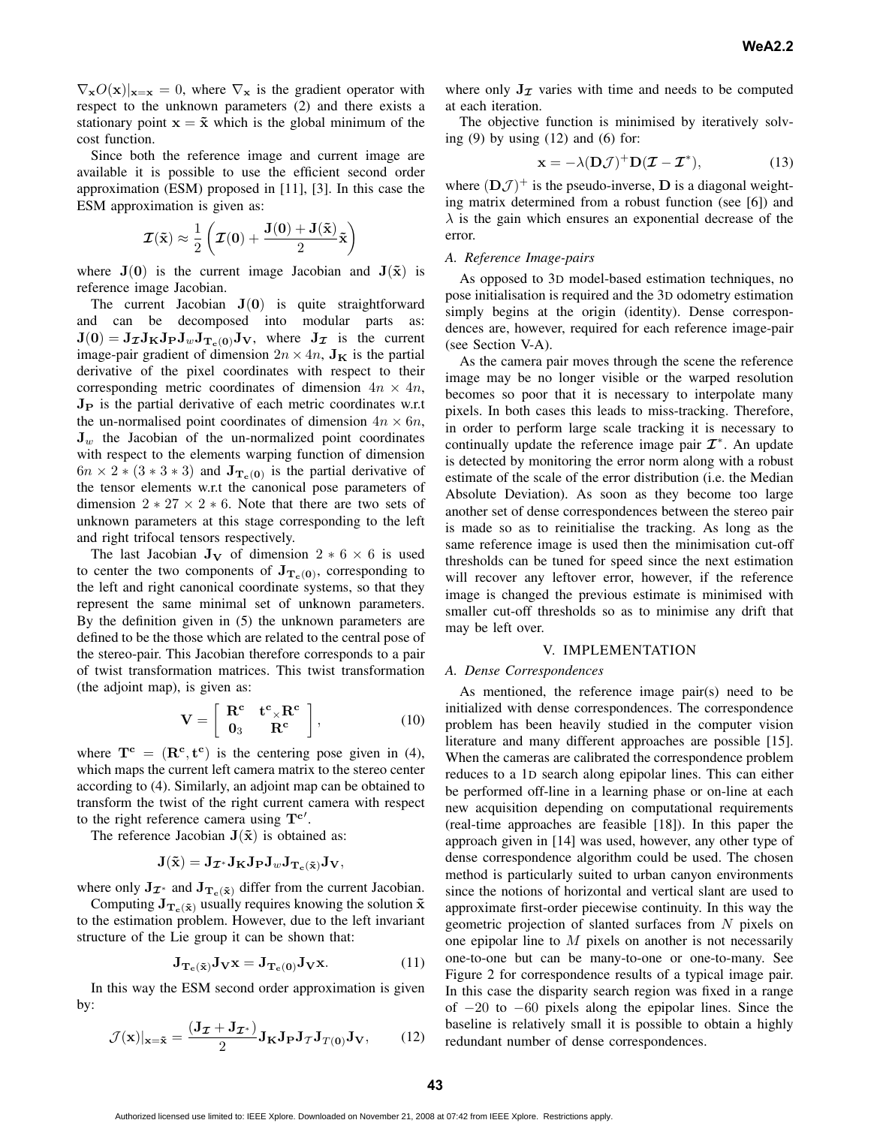$\nabla_{\mathbf{x}}O(\mathbf{x})|_{\mathbf{x}=\mathbf{x}}=0$ , where  $\nabla_{\mathbf{x}}$  is the gradient operator with respect to the unknown parameters (2) and there exists a stationary point  $\mathbf{x} = \tilde{\mathbf{x}}$  which is the global minimum of the cost function.

Since both the reference image and current image are available it is possible to use the efficient second order approximation (ESM) proposed in [11], [3]. In this case the ESM approximation is given as:

$$
\boldsymbol{\mathcal{I}}(\mathbf{\tilde{x}})\approx\frac{1}{2}\left(\boldsymbol{\mathcal{I}}(\mathbf{0})+\frac{\mathbf{J}(\mathbf{0})+\mathbf{J}(\mathbf{\tilde{x}})}{2}\mathbf{\tilde{x}}\right)
$$

where  $J(0)$  is the current image Jacobian and  $J(\tilde{x})$  is reference image Jacobian.

The current Jacobian  $J(0)$  is quite straightforward and can be decomposed into modular parts as:  $J(0) = J_{\mathcal{I}} J_{\mathbf{K}} J_{\mathbf{P}} J_{w} J_{\mathbf{T}_{c}(0)} J_{\mathbf{V}}$ , where  $J_{\mathcal{I}}$  is the current image-pair gradient of dimension  $2n \times 4n$ ,  $J_K$  is the partial derivative of the pixel coordinates with respect to their corresponding metric coordinates of dimension  $4n \times 4n$ , **J<sup>P</sup>** is the partial derivative of each metric coordinates w.r.t the un-normalised point coordinates of dimension  $4n \times 6n$ ,  $J_w$  the Jacobian of the un-normalized point coordinates with respect to the elements warping function of dimension  $6n \times 2 * (3 * 3 * 3)$  and  $J_{T_c(0)}$  is the partial derivative of the tensor elements w.r.t the canonical pose parameters of dimension  $2 \times 27 \times 2 \times 6$ . Note that there are two sets of unknown parameters at this stage corresponding to the left and right trifocal tensors respectively.

The last Jacobian  $J_V$  of dimension 2  $*$  6  $\times$  6 is used to center the two components of  $J_{T_c(0)}$ , corresponding to the left and right canonical coordinate systems, so that they represent the same minimal set of unknown parameters. By the definition given in (5) the unknown parameters are defined to be the those which are related to the central pose of the stereo-pair. This Jacobian therefore corresponds to a pair of twist transformation matrices. This twist transformation (the adjoint map), is given as:

$$
\mathbf{V} = \left[ \begin{array}{cc} \mathbf{R}^{\mathbf{c}} & \mathbf{t}^{\mathbf{c}} \times \mathbf{R}^{\mathbf{c}} \\ \mathbf{0}_3 & \mathbf{R}^{\mathbf{c}} \end{array} \right], \tag{10}
$$

where  $T^c = (R^c, t^c)$  is the centering pose given in (4), which maps the current left camera matrix to the stereo center according to (4). Similarly, an adjoint map can be obtained to transform the twist of the right current camera with respect to the right reference camera using **T<sup>c</sup>** .

The reference Jacobian  $J(\tilde{x})$  is obtained as:

$$
\mathbf{J}(\tilde{\mathbf{x}}) = \mathbf{J}_{\boldsymbol{\mathcal{I}}^*} \mathbf{J}_{\mathbf{K}} \mathbf{J}_{\mathbf{P}} \mathbf{J}_{w} \mathbf{J}_{\mathbf{T}_{c}(\tilde{\mathbf{x}})} \mathbf{J}_{\mathbf{V}},
$$

where only  $J_{\mathcal{I}^*}$  and  $J_{T_c}(\tilde{x})$  differ from the current Jacobian.

Computing  $J_{T_c}(\tilde{x})$  usually requires knowing the solution  $\tilde{x}$ to the estimation problem. However, due to the left invariant structure of the Lie group it can be shown that:

$$
\mathbf{J}_{\mathbf{T}_c(\tilde{\mathbf{x}})}\mathbf{J}_{\mathbf{V}}\mathbf{x} = \mathbf{J}_{\mathbf{T}_c(0)}\mathbf{J}_{\mathbf{V}}\mathbf{x}.\tag{11}
$$

In this way the ESM second order approximation is given by:

$$
\mathcal{J}(\mathbf{x})|_{\mathbf{x}=\tilde{\mathbf{x}}} = \frac{(\mathbf{J}_{\mathcal{I}} + \mathbf{J}_{\mathcal{I}^*})}{2} \mathbf{J}_{\mathbf{K}} \mathbf{J}_{\mathbf{P}} \mathbf{J}_{\mathcal{T}} \mathbf{J}_{T(\mathbf{0})} \mathbf{J}_{\mathbf{V}},\qquad(12)
$$

where only  $J_{\mathcal{I}}$  varies with time and needs to be computed at each iteration.

The objective function is minimised by iteratively solving  $(9)$  by using  $(12)$  and  $(6)$  for:

$$
\mathbf{x} = -\lambda (\mathbf{D}\mathcal{J})^{+} \mathbf{D}(\mathcal{I} - \mathcal{I}^{*}), \tag{13}
$$

where  $(DJ)^+$  is the pseudo-inverse, **D** is a diagonal weighting matrix determined from a robust function (see [6]) and  $\lambda$  is the gain which ensures an exponential decrease of the error.

#### *A. Reference Image-pairs*

As opposed to 3D model-based estimation techniques, no pose initialisation is required and the 3D odometry estimation simply begins at the origin (identity). Dense correspondences are, however, required for each reference image-pair (see Section V-A).

As the camera pair moves through the scene the reference image may be no longer visible or the warped resolution becomes so poor that it is necessary to interpolate many pixels. In both cases this leads to miss-tracking. Therefore, in order to perform large scale tracking it is necessary to continually update the reference image pair  $\mathcal{I}^*$ . An update is detected by monitoring the error norm along with a robust estimate of the scale of the error distribution (i.e. the Median Absolute Deviation). As soon as they become too large another set of dense correspondences between the stereo pair is made so as to reinitialise the tracking. As long as the same reference image is used then the minimisation cut-off thresholds can be tuned for speed since the next estimation will recover any leftover error, however, if the reference image is changed the previous estimate is minimised with smaller cut-off thresholds so as to minimise any drift that may be left over.

# V. IMPLEMENTATION

## *A. Dense Correspondences*

As mentioned, the reference image pair(s) need to be initialized with dense correspondences. The correspondence problem has been heavily studied in the computer vision literature and many different approaches are possible [15]. When the cameras are calibrated the correspondence problem reduces to a 1D search along epipolar lines. This can either be performed off-line in a learning phase or on-line at each new acquisition depending on computational requirements (real-time approaches are feasible [18]). In this paper the approach given in [14] was used, however, any other type of dense correspondence algorithm could be used. The chosen method is particularly suited to urban canyon environments since the notions of horizontal and vertical slant are used to approximate first-order piecewise continuity. In this way the geometric projection of slanted surfaces from N pixels on one epipolar line to  $M$  pixels on another is not necessarily one-to-one but can be many-to-one or one-to-many. See Figure 2 for correspondence results of a typical image pair. In this case the disparity search region was fixed in a range of −20 to −60 pixels along the epipolar lines. Since the baseline is relatively small it is possible to obtain a highly redundant number of dense correspondences.

Authorized licensed use limited to: IEEE Xplore. Downloaded on November 21, 2008 at 07:42 from IEEE Xplore. Restrictions apply.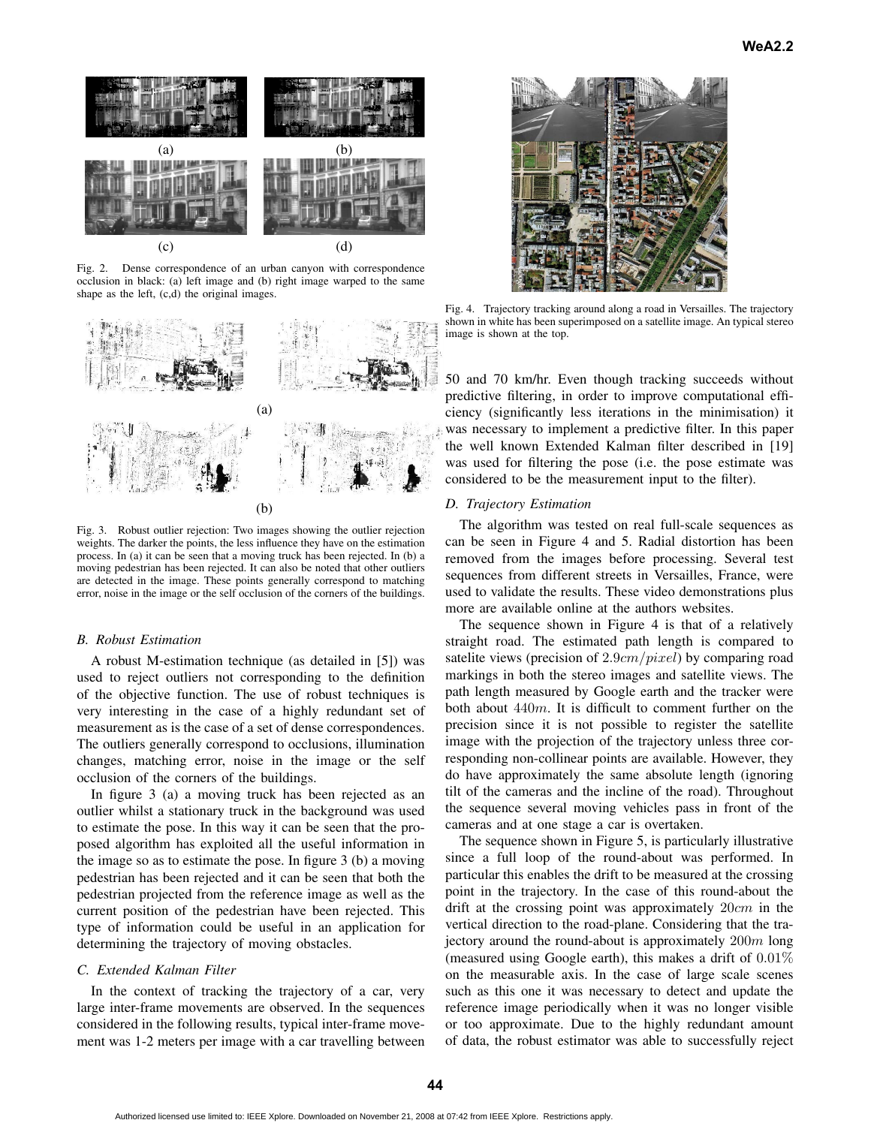

Fig. 2. Dense correspondence of an urban canyon with correspondence occlusion in black: (a) left image and (b) right image warped to the same shape as the left, (c,d) the original images.



Fig. 3. Robust outlier rejection: Two images showing the outlier rejection weights. The darker the points, the less influence they have on the estimation process. In (a) it can be seen that a moving truck has been rejected. In (b) a moving pedestrian has been rejected. It can also be noted that other outliers are detected in the image. These points generally correspond to matching error, noise in the image or the self occlusion of the corners of the buildings.

#### *B. Robust Estimation*

A robust M-estimation technique (as detailed in [5]) was used to reject outliers not corresponding to the definition of the objective function. The use of robust techniques is very interesting in the case of a highly redundant set of measurement as is the case of a set of dense correspondences. The outliers generally correspond to occlusions, illumination changes, matching error, noise in the image or the self occlusion of the corners of the buildings.

In figure 3 (a) a moving truck has been rejected as an outlier whilst a stationary truck in the background was used to estimate the pose. In this way it can be seen that the proposed algorithm has exploited all the useful information in the image so as to estimate the pose. In figure 3 (b) a moving pedestrian has been rejected and it can be seen that both the pedestrian projected from the reference image as well as the current position of the pedestrian have been rejected. This type of information could be useful in an application for determining the trajectory of moving obstacles.

# *C. Extended Kalman Filter*

In the context of tracking the trajectory of a car, very large inter-frame movements are observed. In the sequences considered in the following results, typical inter-frame movement was 1-2 meters per image with a car travelling between



Fig. 4. Trajectory tracking around along a road in Versailles. The trajectory shown in white has been superimposed on a satellite image. An typical stereo image is shown at the top.

50 and 70 km/hr. Even though tracking succeeds without predictive filtering, in order to improve computational efficiency (significantly less iterations in the minimisation) it was necessary to implement a predictive filter. In this paper the well known Extended Kalman filter described in [19] was used for filtering the pose (i.e. the pose estimate was considered to be the measurement input to the filter).

### *D. Trajectory Estimation*

The algorithm was tested on real full-scale sequences as can be seen in Figure 4 and 5. Radial distortion has been removed from the images before processing. Several test sequences from different streets in Versailles, France, were used to validate the results. These video demonstrations plus more are available online at the authors websites.

The sequence shown in Figure 4 is that of a relatively straight road. The estimated path length is compared to satelite views (precision of 2.9*cm/pixel*) by comparing road markings in both the stereo images and satellite views. The path length measured by Google earth and the tracker were both about 440m. It is difficult to comment further on the precision since it is not possible to register the satellite image with the projection of the trajectory unless three corresponding non-collinear points are available. However, they do have approximately the same absolute length (ignoring tilt of the cameras and the incline of the road). Throughout the sequence several moving vehicles pass in front of the cameras and at one stage a car is overtaken.

The sequence shown in Figure 5, is particularly illustrative since a full loop of the round-about was performed. In particular this enables the drift to be measured at the crossing point in the trajectory. In the case of this round-about the drift at the crossing point was approximately 20cm in the vertical direction to the road-plane. Considering that the trajectory around the round-about is approximately  $200m$  long (measured using Google earth), this makes a drift of 0.01% on the measurable axis. In the case of large scale scenes such as this one it was necessary to detect and update the reference image periodically when it was no longer visible or too approximate. Due to the highly redundant amount of data, the robust estimator was able to successfully reject